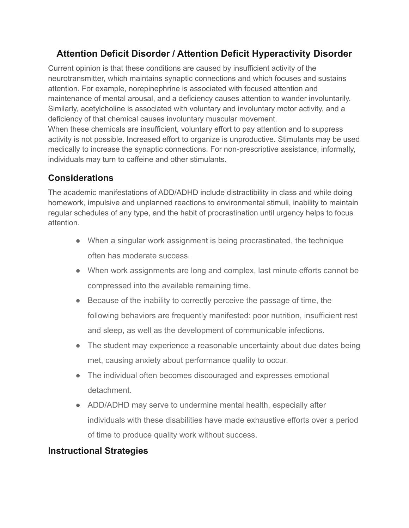## **Attention Deficit Disorder / Attention Deficit Hyperactivity Disorder**

Current opinion is that these conditions are caused by insufficient activity of the neurotransmitter, which maintains synaptic connections and which focuses and sustains attention. For example, norepinephrine is associated with focused attention and maintenance of mental arousal, and a deficiency causes attention to wander involuntarily. Similarly, acetylcholine is associated with voluntary and involuntary motor activity, and a deficiency of that chemical causes involuntary muscular movement.

When these chemicals are insufficient, voluntary effort to pay attention and to suppress activity is not possible. Increased effort to organize is unproductive. Stimulants may be used medically to increase the synaptic connections. For non-prescriptive assistance, informally, individuals may turn to caffeine and other stimulants.

## **Considerations**

The academic manifestations of ADD/ADHD include distractibility in class and while doing homework, impulsive and unplanned reactions to environmental stimuli, inability to maintain regular schedules of any type, and the habit of procrastination until urgency helps to focus attention.

- When a singular work assignment is being procrastinated, the technique often has moderate success.
- When work assignments are long and complex, last minute efforts cannot be compressed into the available remaining time.
- Because of the inability to correctly perceive the passage of time, the following behaviors are frequently manifested: poor nutrition, insufficient rest and sleep, as well as the development of communicable infections.
- The student may experience a reasonable uncertainty about due dates being met, causing anxiety about performance quality to occur.
- The individual often becomes discouraged and expresses emotional detachment.
- ADD/ADHD may serve to undermine mental health, especially after individuals with these disabilities have made exhaustive efforts over a period of time to produce quality work without success.

## **Instructional Strategies**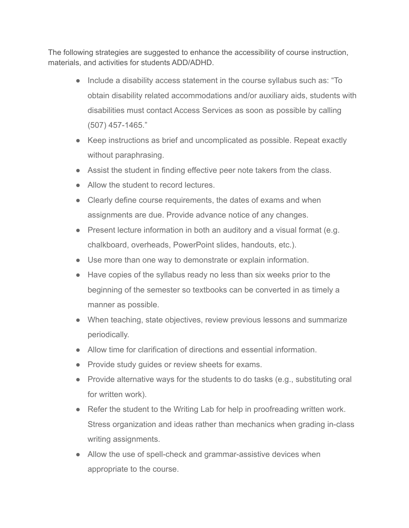The following strategies are suggested to enhance the accessibility of course instruction, materials, and activities for students ADD/ADHD.

- Include a disability access statement in the course syllabus such as: "To obtain disability related accommodations and/or auxiliary aids, students with disabilities must contact Access Services as soon as possible by calling (507) 457-1465."
- Keep instructions as brief and uncomplicated as possible. Repeat exactly without paraphrasing.
- Assist the student in finding effective peer note takers from the class.
- Allow the student to record lectures.
- Clearly define course requirements, the dates of exams and when assignments are due. Provide advance notice of any changes.
- Present lecture information in both an auditory and a visual format (e.g. chalkboard, overheads, PowerPoint slides, handouts, etc.).
- Use more than one way to demonstrate or explain information.
- Have copies of the syllabus ready no less than six weeks prior to the beginning of the semester so textbooks can be converted in as timely a manner as possible.
- When teaching, state objectives, review previous lessons and summarize periodically.
- Allow time for clarification of directions and essential information.
- Provide study guides or review sheets for exams.
- Provide alternative ways for the students to do tasks (e.g., substituting oral for written work).
- Refer the student to the Writing Lab for help in proofreading written work. Stress organization and ideas rather than mechanics when grading in-class writing assignments.
- Allow the use of spell-check and grammar-assistive devices when appropriate to the course.